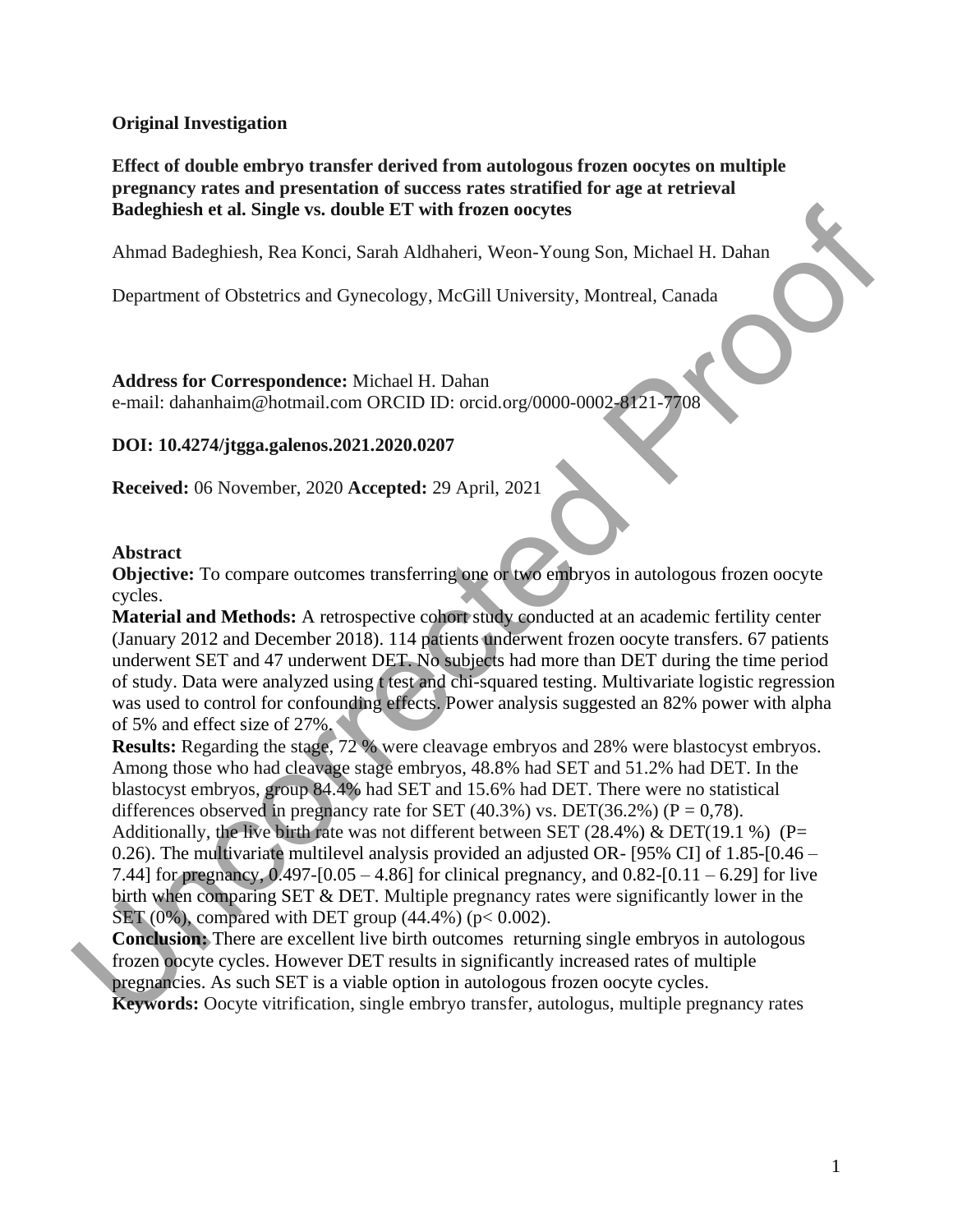#### **Original Investigation**

**Effect of double embryo transfer derived from autologous frozen oocytes on multiple pregnancy rates and presentation of success rates stratified for age at retrieval Badeghiesh et al. Single vs. double ET with frozen oocytes**

Ahmad Badeghiesh, Rea Konci, Sarah Aldhaheri, Weon-Young Son, Michael H. Dahan

Department of Obstetrics and Gynecology, McGill University, Montreal, Canada

**Address for Correspondence:** Michael H. Dahan e-mail: dahanhaim@hotmail.com ORCID ID: orcid.org/0000-0002-8121-7708 on, Michael H. Dahan<br>ontreal, Canada<br>2-8121-7708

# **DOI: 10.4274/jtgga.galenos.2021.2020.0207**

**Received:** 06 November, 2020 **Accepted:** 29 April, 2021

#### **Abstract**

**Objective:** To compare outcomes transferring one or two embryos in autologous frozen oocyte cycles.

**Material and Methods:** A retrospective cohort study conducted at an academic fertility center (January 2012 and December 2018). 114 patients underwent frozen oocyte transfers. 67 patients underwent SET and 47 underwent DET. No subjects had more than DET during the time period of study. Data were analyzed using t test and chi-squared testing. Multivariate logistic regression was used to control for confounding effects. Power analysis suggested an 82% power with alpha of 5% and effect size of 27%.

**Results:** Regarding the stage, 72 % were cleavage embryos and 28% were blastocyst embryos. Among those who had cleavage stage embryos, 48.8% had SET and 51.2% had DET. In the blastocyst embryos, group 84.4% had SET and 15.6% had DET. There were no statistical differences observed in pregnancy rate for SET (40.3%) vs. DET(36.2%) ( $P = 0.78$ ). Additionally, the live birth rate was not different between SET (28.4%) & DET(19.1 %) (P= 0.26). The multivariate multilevel analysis provided an adjusted OR- [95% CI] of 1.85-[0.46 – 7.44] for pregnancy, 0.497-[0.05 – 4.86] for clinical pregnancy, and 0.82-[0.11 – 6.29] for live birth when comparing SET & DET. Multiple pregnancy rates were significantly lower in the  $SET (0%)$ , compared with DET group (44.4%) (p< 0.002). Received: 06 November, 2020 Accepted: 29 April, 2021<br>
Abstract<br>
Objective: To compare outcomes transferring one of two embryos in aut<br>
cycles.<br>
Material and Methods: A retrospective colorst study conducted at an acc<br>
(Jan

**Conclusion:** There are excellent live birth outcomes returning single embryos in autologous frozen oocyte cycles. However DET results in significantly increased rates of multiple pregnancies. As such SET is a viable option in autologous frozen oocyte cycles. **Keywords:**  Oocyte vitrification, single embryo transfer, autologus, multiple pregnancy rates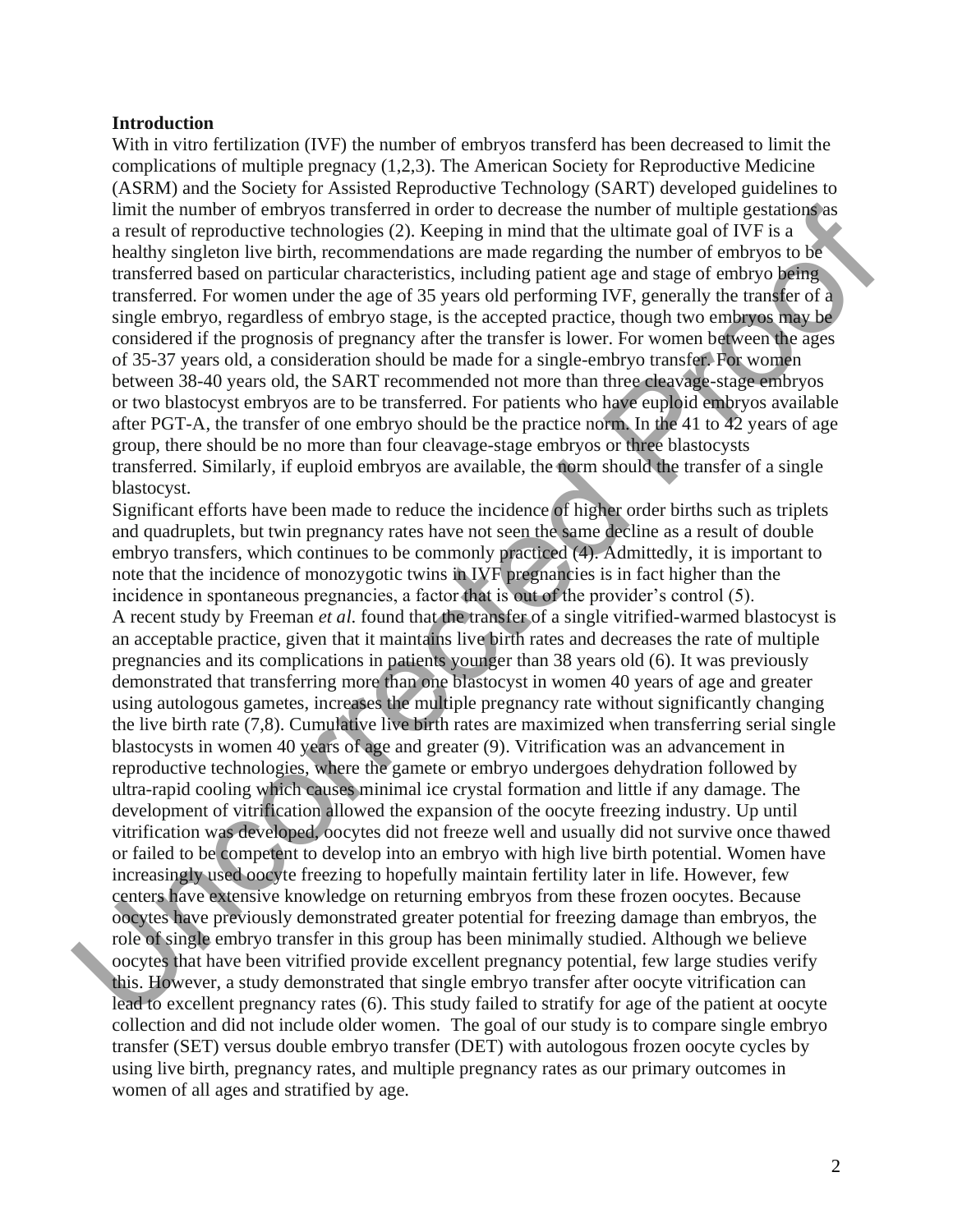#### **Introduction**

With in vitro fertilization (IVF) the number of embryos transferd has been decreased to limit the complications of multiple pregnacy (1,2,3). The American Society for Reproductive Medicine (ASRM) and the Society for Assisted Reproductive Technology (SART) developed guidelines to limit the number of embryos transferred in order to decrease the number of multiple gestations as a result of reproductive technologies (2). Keeping in mind that the ultimate goal of IVF is a healthy singleton live birth, recommendations are made regarding the number of embryos to be transferred based on particular characteristics, including patient age and stage of embryo being transferred. For women under the age of 35 years old performing IVF, generally the transfer of a single embryo, regardless of embryo stage, is the accepted practice, though two embryos may be considered if the prognosis of pregnancy after the transfer is lower. For women between the ages of 35-37 years old, a consideration should be made for a single-embryo transfer. For women between 38-40 years old, the SART recommended not more than three cleavage-stage embryos or two blastocyst embryos are to be transferred. For patients who have euploid embryos available after PGT-A, the transfer of one embryo should be the practice norm. In the 41 to 42 years of age group, there should be no more than four cleavage-stage embryos or three blastocysts transferred. Similarly, if euploid embryos are available, the norm should the transfer of a single blastocyst.

Significant efforts have been made to reduce the incidence of higher order births such as triplets and quadruplets, but twin pregnancy rates have not seen the same decline as a result of double embryo transfers, which continues to be commonly practiced (4). Admittedly, it is important to note that the incidence of monozygotic twins in IVF pregnancies is in fact higher than the incidence in spontaneous pregnancies, a factor that is out of the provider's control (5). A recent study by Freeman *et al*. found that the transfer of a single vitrified-warmed blastocyst is an acceptable practice, given that it maintains live birth rates and decreases the rate of multiple pregnancies and its complications in patients younger than 38 years old (6). It was previously demonstrated that transferring more than one blastocyst in women 40 years of age and greater using autologous gametes, increases the multiple pregnancy rate without significantly changing the live birth rate (7,8). Cumulative live birth rates are maximized when transferring serial single blastocysts in women 40 years of age and greater (9). Vitrification was an advancement in reproductive technologies, where the gamete or embryo undergoes dehydration followed by ultra-rapid cooling which causes minimal ice crystal formation and little if any damage. The development of vitrification allowed the expansion of the oocyte freezing industry. Up until vitrification was developed, oocytes did not freeze well and usually did not survive once thawed or failed to be competent to develop into an embryo with high live birth potential. Women have increasingly used oocyte freezing to hopefully maintain fertility later in life. However, few centers have extensive knowledge on returning embryos from these frozen oocytes. Because oocytes have previously demonstrated greater potential for freezing damage than embryos, the role of single embryo transfer in this group has been minimally studied. Although we believe oocytes that have been vitrified provide excellent pregnancy potential, few large studies verify this. However, a study demonstrated that single embryo transfer after oocyte vitrification can lead to excellent pregnancy rates (6). This study failed to stratify for age of the patient at oocyte collection and did not include older women. The goal of our study is to compare single embryo transfer (SET) versus double embryo transfer (DET) with autologous frozen oocyte cycles by using live birth, pregnancy rates, and multiple pregnancy rates as our primary outcomes in women of all ages and stratified by age. limit the number of embty os transferred in order to docerate the number of multiple gestations are<br>near result of reproductive technologies (2). Keeping in mind that the ultimate goal of IVF is a<br>healthy singleton live bi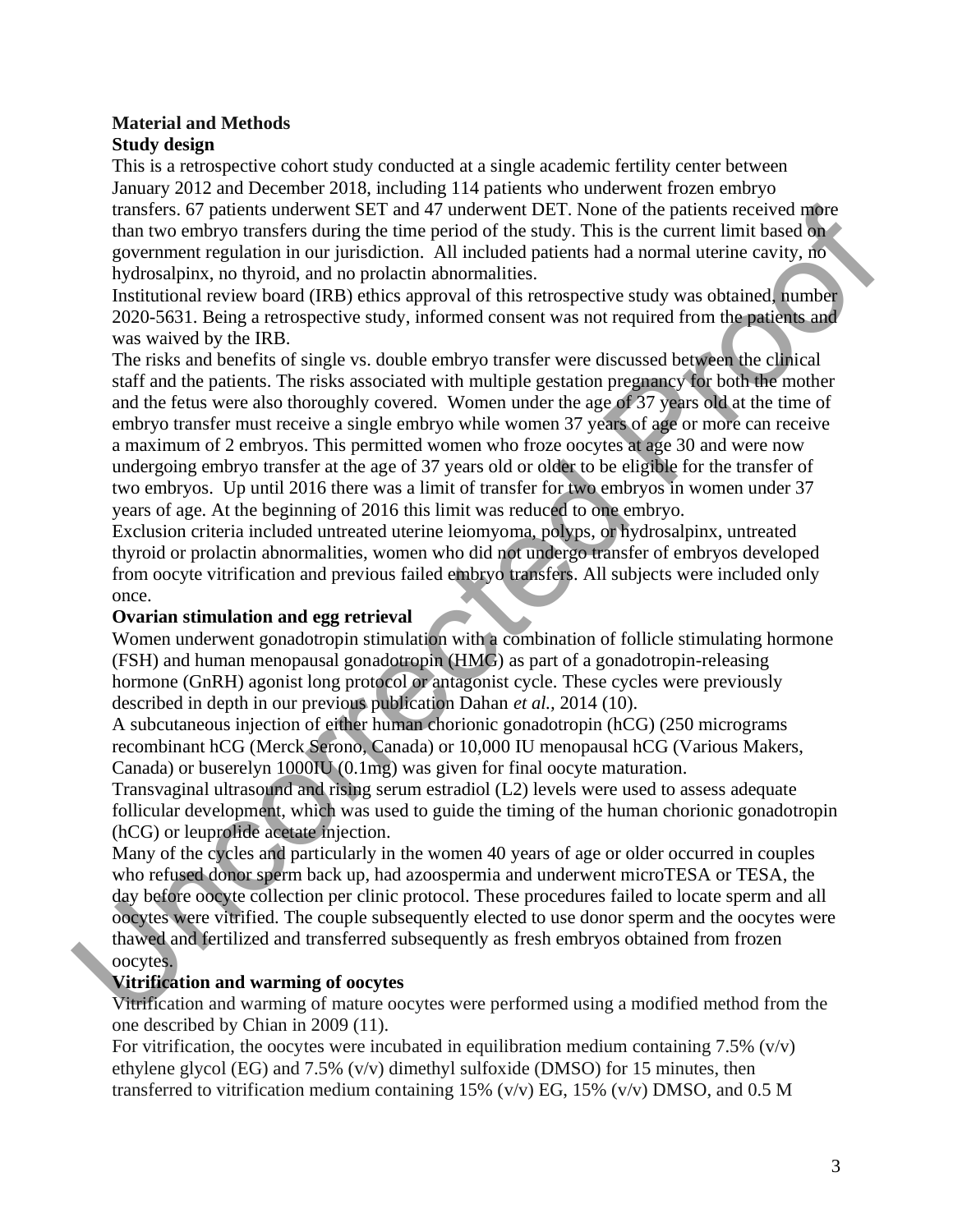#### **Material and Methods Study design**

This is a retrospective cohort study conducted at a single academic fertility center between January 2012 and December 2018, including 114 patients who underwent frozen embryo transfers. 67 patients underwent SET and 47 underwent DET. None of the patients received more than two embryo transfers during the time period of the study. This is the current limit based on government regulation in our jurisdiction. All included patients had a normal uterine cavity, no hydrosalpinx, no thyroid, and no prolactin abnormalities.

Institutional review board (IRB) ethics approval of this retrospective study was obtained, number 2020-5631. Being a retrospective study, informed consent was not required from the patients and was waived by the IRB.

The risks and benefits of single vs. double embryo transfer were discussed between the clinical staff and the patients. The risks associated with multiple gestation pregnancy for both the mother and the fetus were also thoroughly covered. Women under the age of 37 years old at the time of embryo transfer must receive a single embryo while women 37 years of age or more can receive a maximum of 2 embryos. This permitted women who froze oocytes at age 30 and were now undergoing embryo transfer at the age of 37 years old or older to be eligible for the transfer of two embryos. Up until 2016 there was a limit of transfer for two embryos in women under 37 years of age. At the beginning of 2016 this limit was reduced to one embryo. transfers. 67 pairians underwent ESET and 47 underwent DET. None of the pairiest is encircled naby<br>correction in our jurisdiction. All included pairies the pairies from the pairies of pairies and a normal tegrative polyno

Exclusion criteria included untreated uterine leiomyoma, polyps, or hydrosalpinx, untreated thyroid or prolactin abnormalities, women who did not undergo transfer of embryos developed from oocyte vitrification and previous failed embryo transfers. All subjects were included only once.

# **Ovarian stimulation and egg retrieval**

Women underwent gonadotropin stimulation with a combination of follicle stimulating hormone (FSH) and human menopausal gonadotropin (HMG) as part of a gonadotropin-releasing hormone (GnRH) agonist long protocol or antagonist cycle. These cycles were previously described in depth in our previous publication Dahan *et al.,* 2014 (10).

A subcutaneous injection of either human chorionic gonadotropin (hCG) (250 micrograms recombinant hCG (Merck Serono, Canada) or 10,000 IU menopausal hCG (Various Makers, Canada) or buserelyn 1000IU (0.1mg) was given for final oocyte maturation.

Transvaginal ultrasound and rising serum estradiol (L2) levels were used to assess adequate follicular development, which was used to guide the timing of the human chorionic gonadotropin (hCG) or leuprolide acetate injection.

Many of the cycles and particularly in the women 40 years of age or older occurred in couples who refused donor sperm back up, had azoospermia and underwent microTESA or TESA, the day before oocyte collection per clinic protocol. These procedures failed to locate sperm and all oocytes were vitrified. The couple subsequently elected to use donor sperm and the oocytes were thawed and fertilized and transferred subsequently as fresh embryos obtained from frozen oocytes.

# **Vitrification and warming of oocytes**

Vitrification and warming of mature oocytes were performed using a modified method from the one described by Chian in 2009 (11).

For vitrification, the oocytes were incubated in equilibration medium containing 7.5% ( $v/v$ ) ethylene glycol (EG) and 7.5% (v/v) dimethyl sulfoxide (DMSO) for 15 minutes, then transferred to vitrification medium containing 15% ( $v/v$ ) EG, 15% ( $v/v$ ) DMSO, and 0.5 M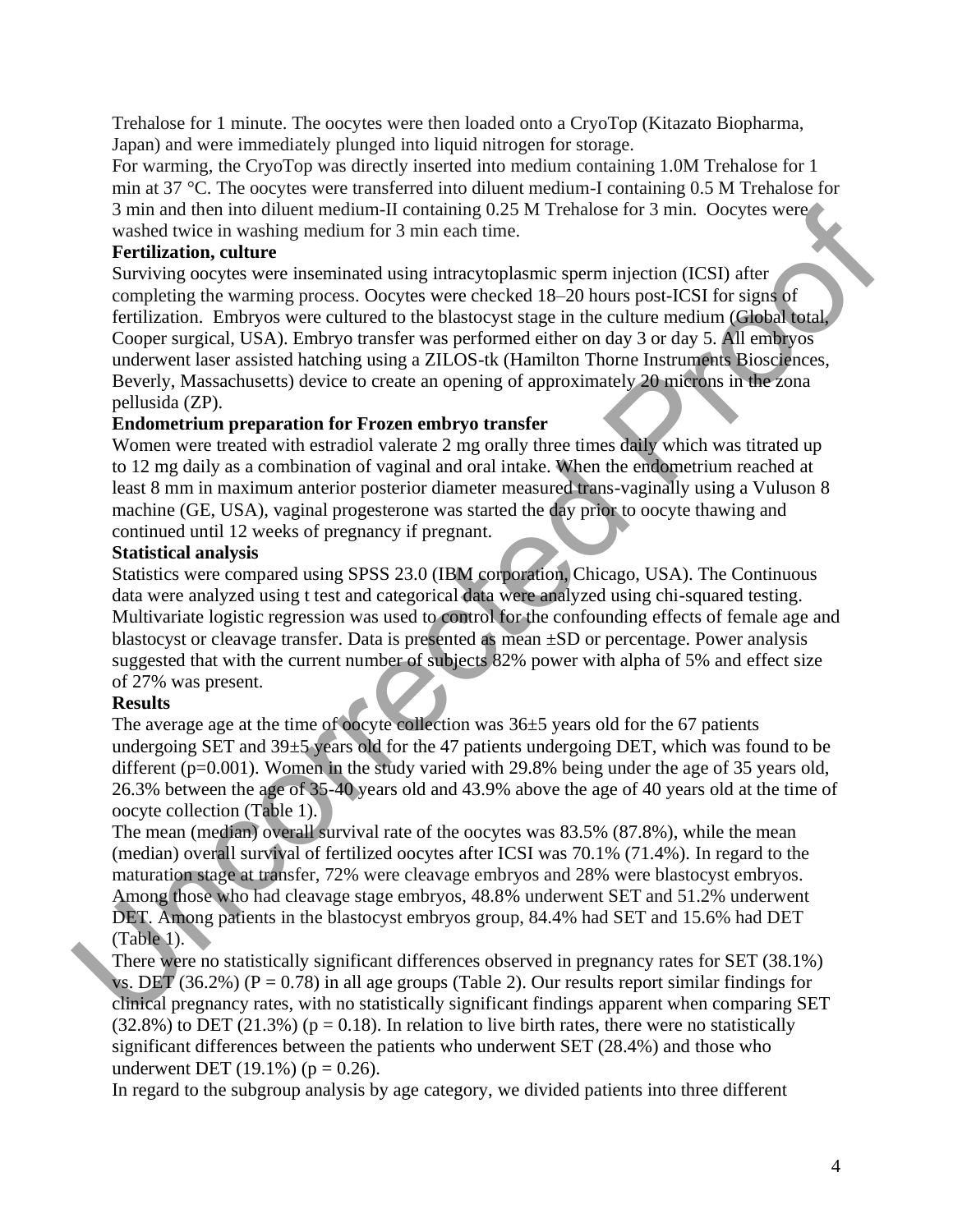Trehalose for 1 minute. The oocytes were then loaded onto a CryoTop (Kitazato Biopharma, Japan) and were immediately plunged into liquid nitrogen for storage.

For warming, the CryoTop was directly inserted into medium containing 1.0M Trehalose for 1 min at 37 °C. The oocytes were transferred into diluent medium-I containing 0.5 M Trehalose for 3 min and then into diluent medium-II containing 0.25 M Trehalose for 3 min. Oocytes were washed twice in washing medium for 3 min each time.

# **Fertilization, culture**

Surviving oocytes were inseminated using intracytoplasmic sperm injection (ICSI) after completing the warming process. Oocytes were checked 18–20 hours post-ICSI for signs of fertilization. Embryos were cultured to the blastocyst stage in the culture medium (Global total, Cooper surgical, USA). Embryo transfer was performed either on day 3 or day 5. All embryos underwent laser assisted hatching using a ZILOS-tk (Hamilton Thorne Instruments Biosciences, Beverly, Massachusetts) device to create an opening of approximately 20 microns in the zona pellusida (ZP). 3 min and then into dilused median-florotaning 0.25 M Trethalose for 3 min. Occytes were<br>swarfed twice in washing medium of 7 smin cast times.<br> **Fertilization, culture**<br> **Evaluation** columns process. Occytes were checked

# **Endometrium preparation for Frozen embryo transfer**

Women were treated with estradiol valerate 2 mg orally three times daily which was titrated up to 12 mg daily as a combination of vaginal and oral intake. When the endometrium reached at least 8 mm in maximum anterior posterior diameter measured trans-vaginally using a Vuluson 8 machine (GE, USA), vaginal progesterone was started the day prior to oocyte thawing and continued until 12 weeks of pregnancy if pregnant.

# **Statistical analysis**

Statistics were compared using SPSS 23.0 (IBM corporation, Chicago, USA). The Continuous data were analyzed using t test and categorical data were analyzed using chi-squared testing. Multivariate logistic regression was used to control for the confounding effects of female age and blastocyst or cleavage transfer. Data is presented as mean ±SD or percentage. Power analysis suggested that with the current number of subjects 82% power with alpha of 5% and effect size of 27% was present.

# **Results**

The average age at the time of oocyte collection was  $36±5$  years old for the 67 patients undergoing SET and 39±5 years old for the 47 patients undergoing DET, which was found to be different (p=0.001). Women in the study varied with 29.8% being under the age of 35 years old, 26.3% between the age of 35-40 years old and 43.9% above the age of 40 years old at the time of oocyte collection (Table 1).

The mean (median) overall survival rate of the oocytes was 83.5% (87.8%), while the mean (median) overall survival of fertilized oocytes after ICSI was 70.1% (71.4%). In regard to the maturation stage at transfer, 72% were cleavage embryos and 28% were blastocyst embryos. Among those who had cleavage stage embryos, 48.8% underwent SET and 51.2% underwent DET. Among patients in the blastocyst embryos group, 84.4% had SET and 15.6% had DET (Table 1).

There were no statistically significant differences observed in pregnancy rates for SET (38.1%) vs. DET (36.2%) (P = 0.78) in all age groups (Table 2). Our results report similar findings for clinical pregnancy rates, with no statistically significant findings apparent when comparing SET  $(32.8\%)$  to DET  $(21.3\%)$  (p = 0.18). In relation to live birth rates, there were no statistically significant differences between the patients who underwent SET (28.4%) and those who underwent DET (19.1%) ( $p = 0.26$ ).

In regard to the subgroup analysis by age category, we divided patients into three different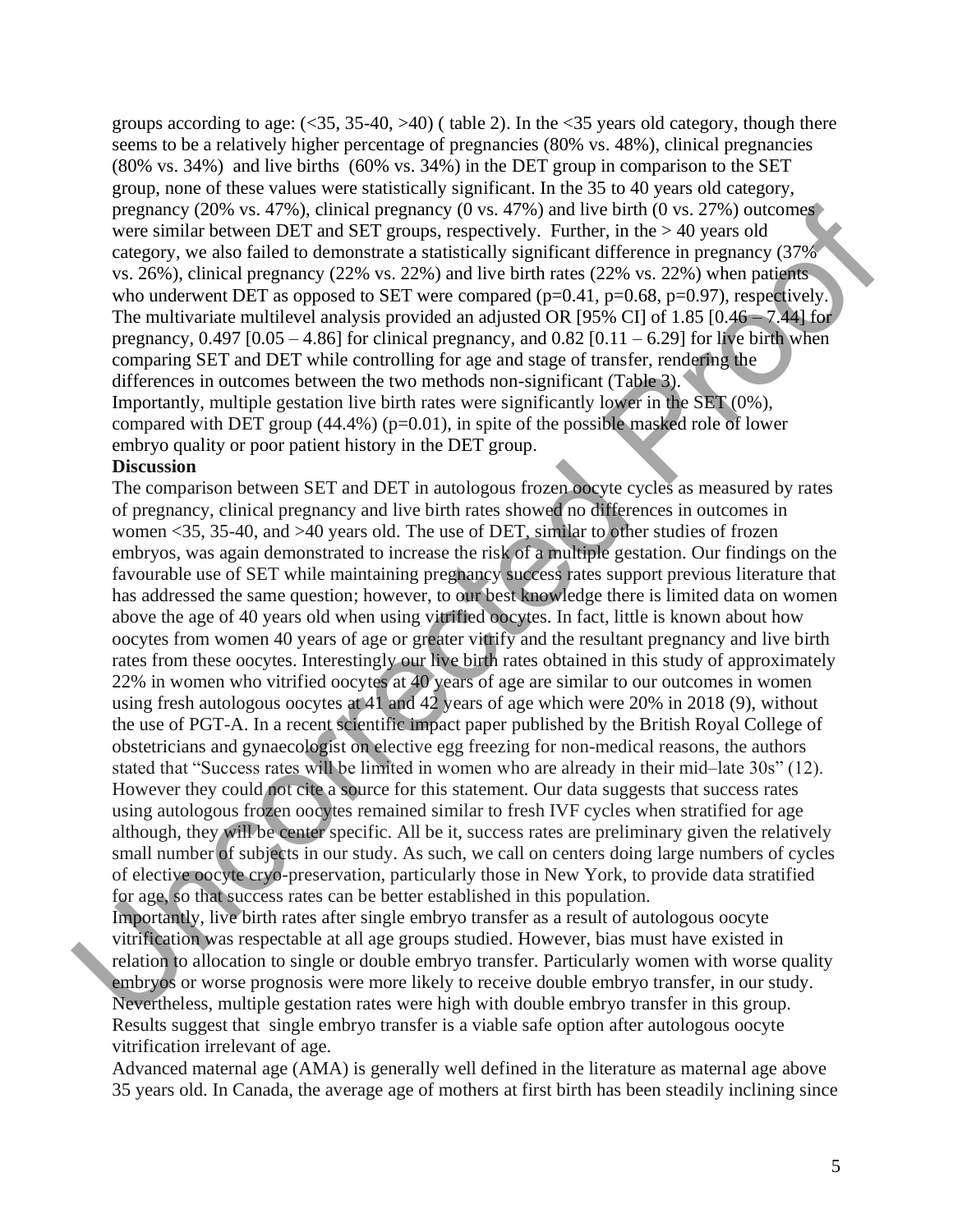groups according to age:  $(\leq 35, 35-40, >10)$  (table 2). In the  $\leq 35$  years old category, though there seems to be a relatively higher percentage of pregnancies (80% vs. 48%), clinical pregnancies (80% vs. 34%) and live births (60% vs. 34%) in the DET group in comparison to the SET group, none of these values were statistically significant. In the 35 to 40 years old category, pregnancy (20% vs. 47%), clinical pregnancy (0 vs. 47%) and live birth (0 vs. 27%) outcomes were similar between DET and SET groups, respectively. Further, in the > 40 years old category, we also failed to demonstrate a statistically significant difference in pregnancy (37% vs. 26%), clinical pregnancy (22% vs. 22%) and live birth rates (22% vs. 22%) when patients who underwent DET as opposed to SET were compared  $(p=0.41, p=0.68, p=0.97)$ , respectively. The multivariate multilevel analysis provided an adjusted OR [95% CI] of 1.85 [0.46 – 7.44] for pregnancy,  $0.497$  [ $0.05 - 4.86$ ] for clinical pregnancy, and  $0.82$  [ $0.11 - 6.29$ ] for live birth when comparing SET and DET while controlling for age and stage of transfer, rendering the differences in outcomes between the two methods non-significant (Table 3). Importantly, multiple gestation live birth rates were significantly lower in the SET (0%), compared with DET group  $(44.4\%)$  (p=0.01), in spite of the possible masked role of lower embryo quality or poor patient history in the DET group.

#### **Discussion**

The comparison between SET and DET in autologous frozen oocyte cycles as measured by rates of pregnancy, clinical pregnancy and live birth rates showed no differences in outcomes in women <35, 35-40, and >40 years old. The use of DET, similar to other studies of frozen embryos, was again demonstrated to increase the risk of a multiple gestation. Our findings on the favourable use of SET while maintaining pregnancy success rates support previous literature that has addressed the same question; however, to our best knowledge there is limited data on women above the age of 40 years old when using vitrified oocytes. In fact, little is known about how oocytes from women 40 years of age or greater vitrify and the resultant pregnancy and live birth rates from these oocytes. Interestingly our live birth rates obtained in this study of approximately 22% in women who vitrified oocytes at 40 years of age are similar to our outcomes in women using fresh autologous oocytes at 41 and 42 years of age which were 20% in 2018 (9), without the use of PGT-A. In a recent scientific impact paper published by the British Royal College of obstetricians and gynaecologist on elective egg freezing for non-medical reasons, the authors stated that "Success rates will be limited in women who are already in their mid–late 30s" (12). However they could not cite a source for this statement. Our data suggests that success rates using autologous frozen oocytes remained similar to fresh IVF cycles when stratified for age although, they will be center specific. All be it, success rates are preliminary given the relatively small number of subjects in our study. As such, we call on centers doing large numbers of cycles of elective oocyte cryo-preservation, particularly those in New York, to provide data stratified for age, so that success rates can be better established in this population. pregnancy (20% vs. 47%), clinical pregnancy (0 vss. 47%) and live bith (0 vs. 27%) outcomes<br>vere similar between DET and SFI' groups, respectively. Further, in the > 40 years old<br>category, we also failed to demonstrate a s

Importantly, live birth rates after single embryo transfer as a result of autologous oocyte vitrification was respectable at all age groups studied. However, bias must have existed in relation to allocation to single or double embryo transfer. Particularly women with worse quality embryos or worse prognosis were more likely to receive double embryo transfer, in our study. Nevertheless, multiple gestation rates were high with double embryo transfer in this group. Results suggest that single embryo transfer is a viable safe option after autologous oocyte vitrification irrelevant of age.

Advanced maternal age (AMA) is generally well defined in the literature as maternal age above 35 years old. In Canada, the average age of mothers at first birth has been steadily inclining since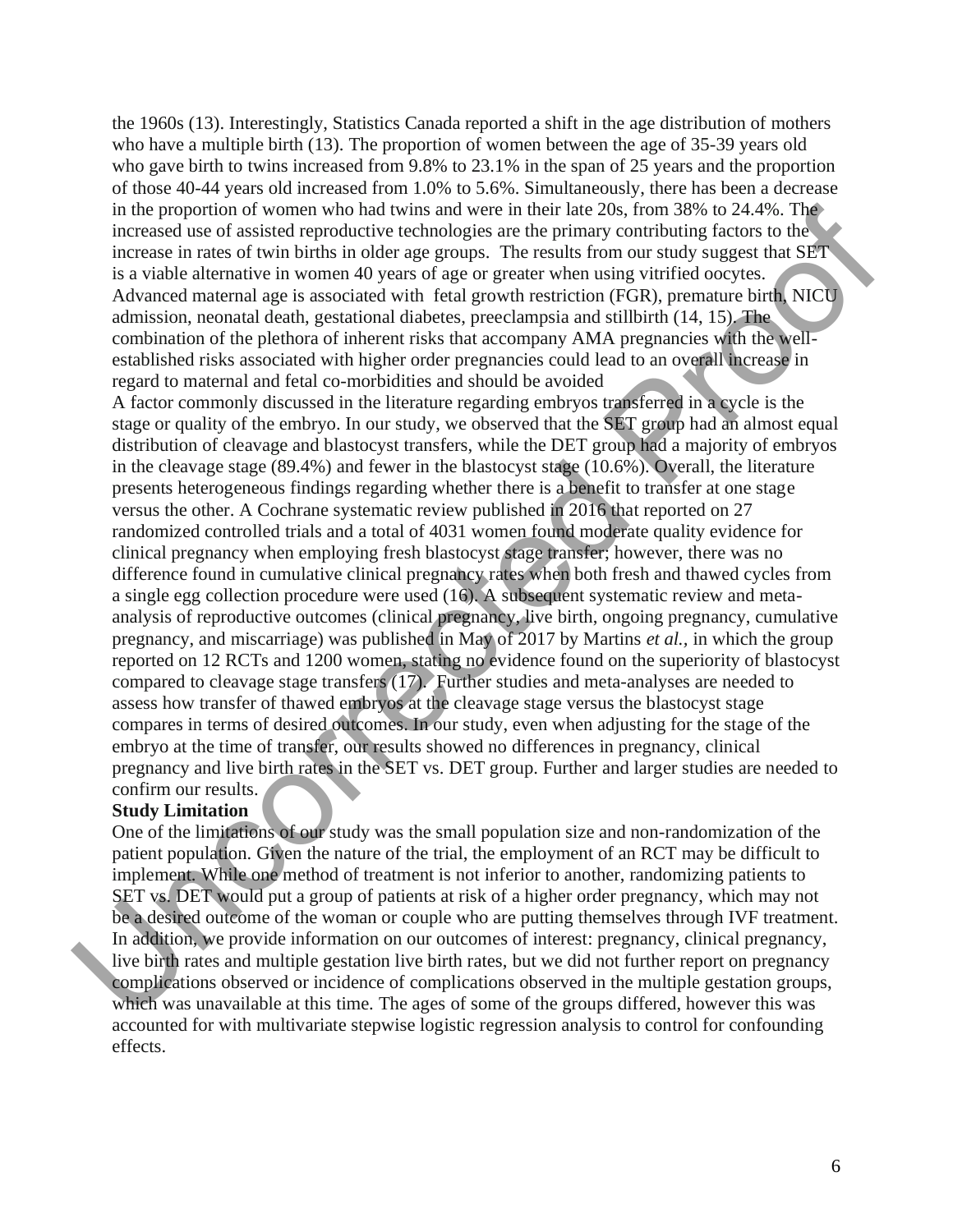the 1960s (13). Interestingly, Statistics Canada reported a shift in the age distribution of mothers who have a multiple birth (13). The proportion of women between the age of 35-39 years old who gave birth to twins increased from 9.8% to 23.1% in the span of 25 years and the proportion of those 40-44 years old increased from 1.0% to 5.6%. Simultaneously, there has been a decrease in the proportion of women who had twins and were in their late 20s, from 38% to 24.4%. The increased use of assisted reproductive technologies are the primary contributing factors to the increase in rates of twin births in older age groups. The results from our study suggest that SET is a viable alternative in women 40 years of age or greater when using vitrified oocytes. Advanced maternal age is associated with fetal growth restriction (FGR), premature birth, NICU admission, neonatal death, gestational diabetes, preeclampsia and stillbirth (14, 15). The combination of the plethora of inherent risks that accompany AMA pregnancies with the wellestablished risks associated with higher order pregnancies could lead to an overall increase in regard to maternal and fetal co-morbidities and should be avoided

A factor commonly discussed in the literature regarding embryos transferred in a cycle is the stage or quality of the embryo. In our study, we observed that the SET group had an almost equal distribution of cleavage and blastocyst transfers, while the DET group had a majority of embryos in the cleavage stage (89.4%) and fewer in the blastocyst stage (10.6%). Overall, the literature presents heterogeneous findings regarding whether there is a benefit to transfer at one stage versus the other. A Cochrane systematic review published in 2016 that reported on 27 randomized controlled trials and a total of 4031 women found moderate quality evidence for clinical pregnancy when employing fresh blastocyst stage transfer; however, there was no difference found in cumulative clinical pregnancy rates when both fresh and thawed cycles from a single egg collection procedure were used (16). A subsequent systematic review and metaanalysis of reproductive outcomes (clinical pregnancy, live birth, ongoing pregnancy, cumulative pregnancy, and miscarriage) was published in May of 2017 by Martins *et al.,* in which the group reported on 12 RCTs and 1200 women, stating no evidence found on the superiority of blastocyst compared to cleavage stage transfers (17). Further studies and meta-analyses are needed to assess how transfer of thawed embryos at the cleavage stage versus the blastocyst stage compares in terms of desired outcomes. In our study, even when adjusting for the stage of the embryo at the time of transfer, our results showed no differences in pregnancy, clinical pregnancy and live birth rates in the SET vs. DET group. Further and larger studies are needed to confirm our results. in the proportion of women who had wises and ween in their late 20s, from 38% to 24.4%. The<br>mecresced it can be increase in rate and we increase in the interaction of states of with bittle increase in rates of with bittles

#### **Study Limitation**

One of the limitations of our study was the small population size and non-randomization of the patient population. Given the nature of the trial, the employment of an RCT may be difficult to implement. While one method of treatment is not inferior to another, randomizing patients to SET vs. DET would put a group of patients at risk of a higher order pregnancy, which may not be a desired outcome of the woman or couple who are putting themselves through IVF treatment. In addition, we provide information on our outcomes of interest: pregnancy, clinical pregnancy, live birth rates and multiple gestation live birth rates, but we did not further report on pregnancy complications observed or incidence of complications observed in the multiple gestation groups, which was unavailable at this time. The ages of some of the groups differed, however this was accounted for with multivariate stepwise logistic regression analysis to control for confounding effects.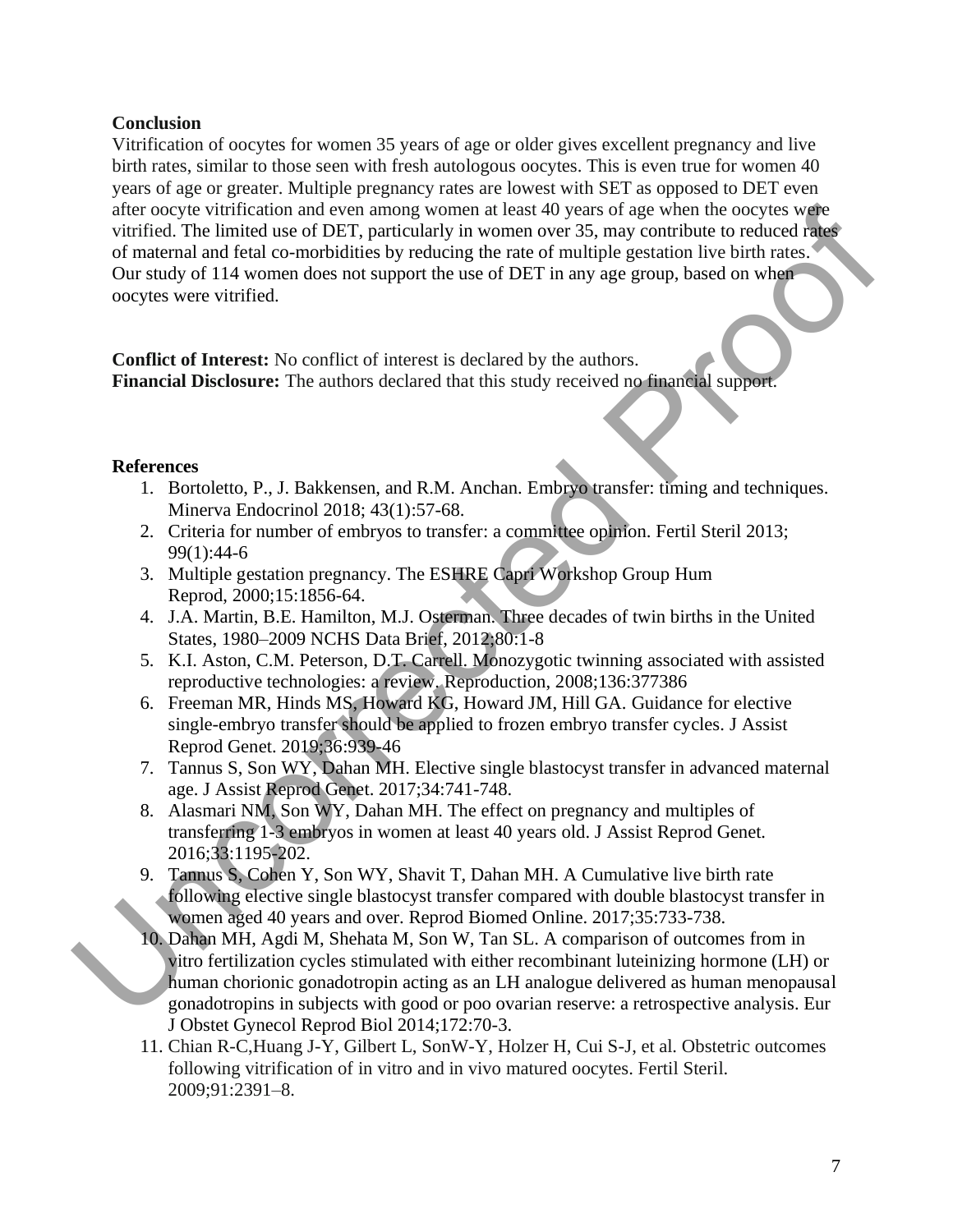# **Conclusion**

Vitrification of oocytes for women 35 years of age or older gives excellent pregnancy and live birth rates, similar to those seen with fresh autologous oocytes. This is even true for women 40 years of age or greater. Multiple pregnancy rates are lowest with SET as opposed to DET even after oocyte vitrification and even among women at least 40 years of age when the oocytes were vitrified. The limited use of DET, particularly in women over 35, may contribute to reduced rates of maternal and fetal co-morbidities by reducing the rate of multiple gestation live birth rates. Our study of 114 women does not support the use of DET in any age group, based on when oocytes were vitrified. after cocyet virtification and even anong women at least 40 years of age when the cocytes we[re](https://www.ncbi.nlm.nih.gov/pubmed/?term=Howard%20KG%5BAuthor%5D&cauthor=true&cauthor_uid=30859416) completed and test co-morbidities by reducing the rate of multiple gestation live birth rates of marenal and fetal co-morbidit

**Conflict of Interest:** No conflict of interest is declared by the authors. **Financial Disclosure:** The authors declared that this study received no financial support.

#### **References**

- 1. Bortoletto, P., J. Bakkensen, and R.M. Anchan. Embryo transfer: timing and techniques. Minerva Endocrinol 2018; 43(1):57-68.
- 2. Criteria for number of embryos to transfer: a committee opinion. Fertil Steril 2013; 99(1):44-6
- 3. Multiple gestation pregnancy. The ESHRE Capri Workshop Group Hum Reprod, 2000;15:1856-64.
- 4. J.A. Martin, B.E. Hamilton, M.J. Osterman. Three decades of twin births in the United States, 1980–2009 NCHS Data Brief, 2012;80:1-8
- 5. K.I. Aston, C.M. Peterson, D.T. Carrell. Monozygotic twinning associated with assisted reproductive technologies: a review. Reproduction, 2008;136:377386
- 6. Freeman MR, Hinds MS, Howard KG, Howard JM, Hill GA. Guidance for elective single-embryo transfer should be applied to frozen embryo transfer cycles. J Assist Reprod Genet. 2019;36:939-46
- 7. Tannus S, Son WY, Dahan MH. Elective single blastocyst transfer in advanced maternal age. J Assist Reprod Genet. 2017;34:741-748.
- 8. Alasmari NM, Son WY, Dahan MH. The effect on pregnancy and multiples of transferring 1-3 embryos in women at least 40 years old. J Assist Reprod Genet. 2016;33:1195-202.
- 9. Tannus S, Cohen Y, Son WY, Shavit T, Dahan MH. A Cumulative live birth rate following elective single blastocyst transfer compared with double blastocyst transfer in women aged 40 years and over. Reprod Biomed Online. 2017;35:733-738.
- 10. Dahan MH, Agdi M, Shehata M, Son W, Tan SL. A comparison of outcomes from in vitro fertilization cycles stimulated with either recombinant luteinizing hormone (LH) or human chorionic gonadotropin acting as an LH analogue delivered as human menopausal gonadotropins in subjects with good or poo ovarian reserve: a retrospective analysis. Eur J Obstet Gynecol Reprod Biol 2014;172:70-3.
- 11. Chian R-C,Huang J-Y, Gilbert L, SonW-Y, Holzer H, Cui S-J, et al. Obstetric outcomes following vitrification of in vitro and in vivo matured oocytes. Fertil Steril. 2009;91:2391–8.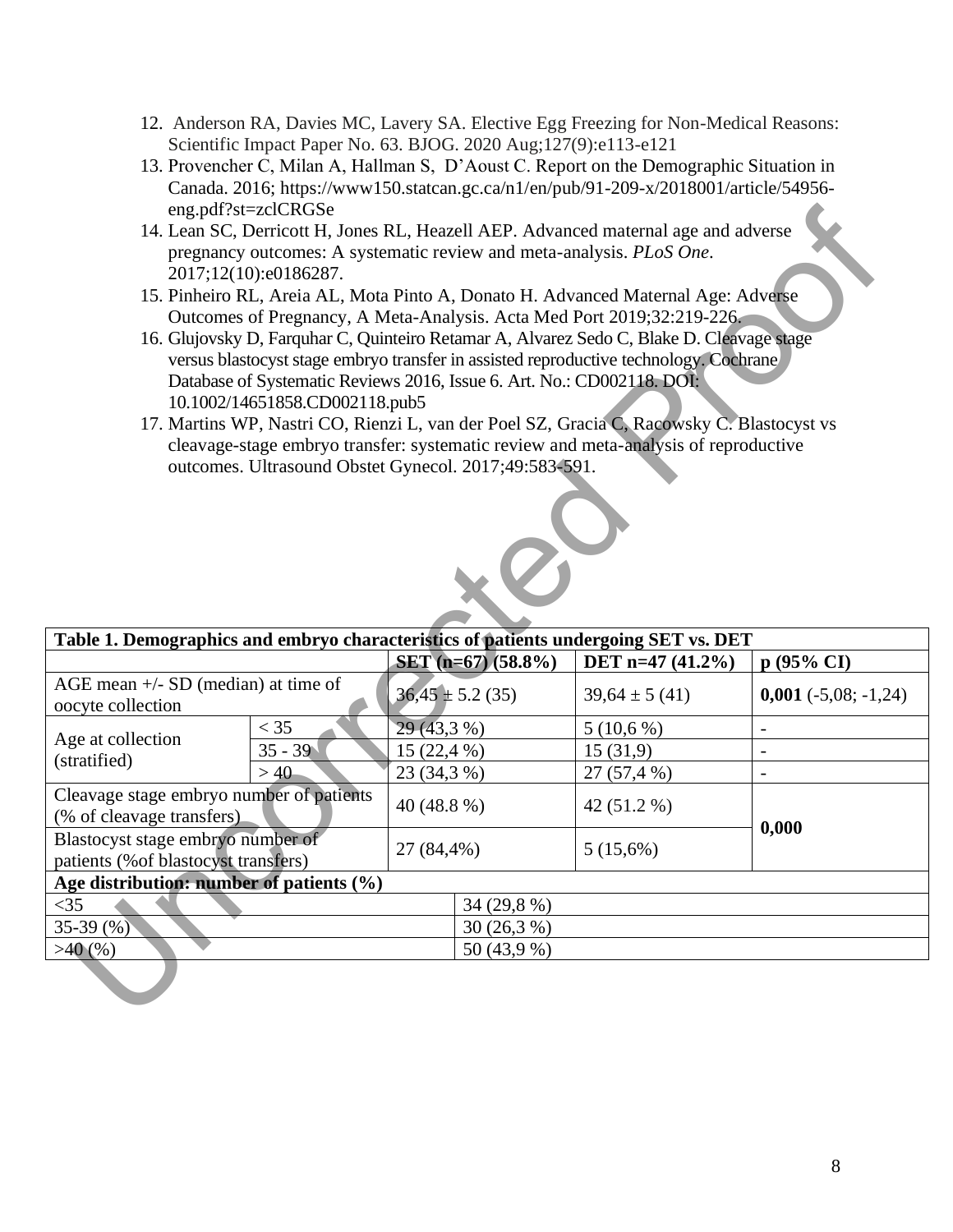- 12. Anderson RA, Davies MC, Lavery SA. Elective Egg Freezing for Non-Medical Reasons: Scientific Impact Paper No. 63. BJOG. 2020 Aug;127(9):e113-e121
- 13. Provencher C, Milan A, Hallman S, D'Aoust C. Report on the Demographic Situation in Canada. 2016; [https://www150.statcan.gc.ca/n1/en/pub/91-209-x/2018001/article/54956](https://www150.statcan.gc.ca/n1/en/pub/91-209-x/2018001/article/54956-eng.pdf?st=zclCRGSe) eng.pdf?st=zclCRGSe
- 14. Lean SC, Derricott H, Jones RL, Heazell AEP. Advanced maternal age and adverse pregnancy outcomes: A systematic review and meta-analysis. *PLoS One*. 2017;12(10):e0186287.
- 15. Pinheiro RL, Areia AL, Mota Pinto A, Donato H. Advanced Maternal Age: Adverse Outcomes of Pregnancy, A Meta-Analysis. Acta Med Port 2019;32:219-226.
- 16. Glujovsky D, Farquhar C, Quinteiro Retamar A, Alvarez Sedo C, Blake D. Cleavage stage versus blastocyst stage embryo transfer in assisted reproductive technology. Cochrane Database of Systematic Reviews 2016, Issue 6. Art. No.: CD002118. DOI: 10.1002/14651858.CD002118.pub5
- 17. Martins WP, Nastri CO, Rienzi L, van der Poel SZ, Gracia C, Racowsky C. Blastocyst vs cleavage-stage embryo transfer: systematic review and meta-analysis of reproductive outcomes. Ultrasound Obstet Gynecol. 2017;49:583-591.



|                                                                                     | eng.pdf?st=zclCRGSe                                                    |              |                      |                                                                                           |                               |  |
|-------------------------------------------------------------------------------------|------------------------------------------------------------------------|--------------|----------------------|-------------------------------------------------------------------------------------------|-------------------------------|--|
|                                                                                     |                                                                        |              |                      | 14. Lean SC, Derricott H, Jones RL, Heazell AEP. Advanced maternal age and adverse        |                               |  |
|                                                                                     |                                                                        |              |                      | pregnancy outcomes: A systematic review and meta-analysis. PLoS One.                      |                               |  |
|                                                                                     | 2017;12(10):e0186287.                                                  |              |                      |                                                                                           |                               |  |
|                                                                                     |                                                                        |              |                      | 15. Pinheiro RL, Areia AL, Mota Pinto A, Donato H. Advanced Maternal Age: Adverse         |                               |  |
|                                                                                     |                                                                        |              |                      | Outcomes of Pregnancy, A Meta-Analysis. Acta Med Port 2019;32:219-226.                    |                               |  |
|                                                                                     |                                                                        |              |                      | 16. Glujovsky D, Farquhar C, Quinteiro Retamar A, Alvarez Sedo C, Blake D. Cleavage stage |                               |  |
|                                                                                     |                                                                        |              |                      | versus blastocyst stage embryo transfer in assisted reproductive technology. Cochrane     |                               |  |
|                                                                                     | Database of Systematic Reviews 2016, Issue 6. Art. No.: CD002118. DOI: |              |                      |                                                                                           |                               |  |
|                                                                                     | 10.1002/14651858.CD002118.pub5                                         |              |                      |                                                                                           |                               |  |
|                                                                                     |                                                                        |              |                      | 17. Martins WP, Nastri CO, Rienzi L, van der Poel SZ, Gracia C, Racowsky C. Blastocyst vs |                               |  |
|                                                                                     |                                                                        |              |                      | cleavage-stage embryo transfer: systematic review and meta-analysis of reproductive       |                               |  |
|                                                                                     | outcomes. Ultrasound Obstet Gynecol. 2017;49:583-591.                  |              |                      |                                                                                           |                               |  |
|                                                                                     |                                                                        |              |                      |                                                                                           |                               |  |
|                                                                                     |                                                                        |              |                      |                                                                                           |                               |  |
|                                                                                     |                                                                        |              |                      |                                                                                           |                               |  |
|                                                                                     |                                                                        |              |                      |                                                                                           |                               |  |
|                                                                                     |                                                                        |              |                      |                                                                                           |                               |  |
|                                                                                     |                                                                        |              |                      |                                                                                           |                               |  |
|                                                                                     |                                                                        |              |                      |                                                                                           |                               |  |
| Table 1. Demographics and embryo characteristics of patients undergoing SET vs. DET |                                                                        |              |                      |                                                                                           |                               |  |
|                                                                                     |                                                                        |              | SET (n=67) (58.8%)   | DET n=47 $(41.2\%)$                                                                       | p (95% CI)                    |  |
| AGE mean $+/-$ SD (median) at time of                                               |                                                                        |              | $36,45 \pm 5.2$ (35) | $39,64 \pm 5(41)$                                                                         | $0,001$ ( $-5,08$ ; $-1,24$ ) |  |
| oocyte collection                                                                   |                                                                        |              |                      |                                                                                           |                               |  |
| Age at collection                                                                   | $<$ 35                                                                 | 29 (43,3 %)  |                      | 5(10,6%)                                                                                  |                               |  |
| (stratified)                                                                        | $35 - 39$                                                              | $15(22,4\%)$ |                      | 15(31,9)                                                                                  | $\overline{a}$                |  |
| >40                                                                                 |                                                                        | 23 (34,3 %)  |                      | 27 (57,4 %)                                                                               | $\overline{a}$                |  |
| Cleavage stage embryo number of patients                                            |                                                                        | 40 (48.8 %)  |                      | 42 (51.2 %)                                                                               |                               |  |
| (% of cleavage transfers)                                                           |                                                                        |              |                      |                                                                                           | 0,000                         |  |
| Blastocyst stage embryo number of                                                   |                                                                        | 27 (84,4%)   |                      | 5(15,6%)                                                                                  |                               |  |
| patients (% of blastocyst transfers)                                                |                                                                        |              |                      |                                                                                           |                               |  |
| Age distribution: number of patients $(\%)$                                         |                                                                        |              |                      |                                                                                           |                               |  |
| $<$ 35                                                                              |                                                                        |              | 34 (29,8 %)          |                                                                                           |                               |  |
| 35-39 $(\%)$                                                                        |                                                                        |              | 30 (26,3 %)          |                                                                                           |                               |  |
| >40(%                                                                               |                                                                        |              | 50 (43,9 %)          |                                                                                           |                               |  |
|                                                                                     |                                                                        |              |                      |                                                                                           |                               |  |
|                                                                                     |                                                                        |              |                      |                                                                                           |                               |  |
|                                                                                     |                                                                        |              |                      |                                                                                           |                               |  |